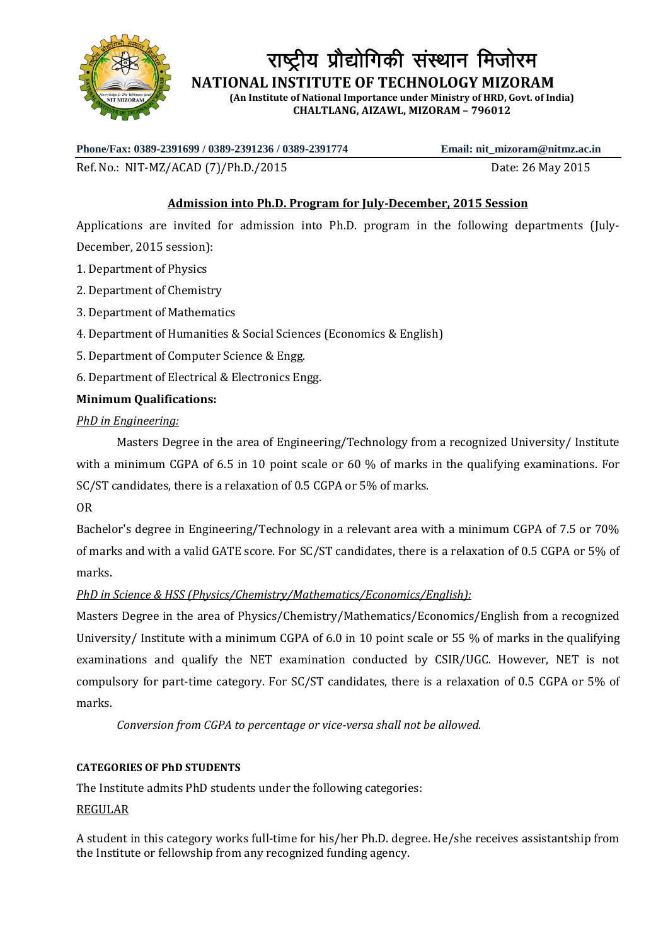

राष्ट्रीय प्रौद्योगिकी संस्थान मिजोरम

 **NATIONAL INSTITUTE OF TECHNOLOGY MIZORAM**

**(An Institute of National Importance under Ministry of HRD, Govt. of India) CHALTLANG, AIZAWL, MIZORAM – 796012**

**Phone/Fax: 0389-2391699 / 0389-2391236 / 0389-2391774 Email: nit\_mizoram@nitmz.ac.in**

Ref. No.: NIT-MZ/ACAD (7)/Ph.D./2015 Date: 26 May 2015

# **Admission into Ph.D. Program for July-December, 2015 Session**

Applications are invited for admission into Ph.D. program in the following departments (July-December, 2015 session):

- 1. Department of Physics
- 2. Department of Chemistry
- 3. Department of Mathematics
- 4. Department of Humanities & Social Sciences (Economics & English)
- 5. Department of Computer Science & Engg.
- 6. Department of Electrical & Electronics Engg.

## **Minimum Qualifications:**

## *PhD in Engineering:*

Masters Degree in the area of Engineering/Technology from a recognized University/ Institute with a minimum CGPA of 6.5 in 10 point scale or 60 % of marks in the qualifying examinations. For SC/ST candidates, there is a relaxation of 0.5 CGPA or 5% of marks.

OR

Bachelor's degree in Engineering/Technology in a relevant area with a minimum CGPA of 7.5 or 70% of marks and with a valid GATE score. For SC/ST candidates, there is a relaxation of 0.5 CGPA or 5% of marks.

## *PhD in Science & HSS (Physics/Chemistry/Mathematics/Economics/English):*

Masters Degree in the area of Physics/Chemistry/Mathematics/Economics/English from a recognized University/ Institute with a minimum CGPA of 6.0 in 10 point scale or 55 % of marks in the qualifying examinations and qualify the NET examination conducted by CSIR/UGC. However, NET is not compulsory for part-time category. For SC/ST candidates, there is a relaxation of 0.5 CGPA or 5% of marks.

*Conversion from CGPA to percentage or vice-versa shall not be allowed.*

## **CATEGORIES OF PhD STUDENTS**

The Institute admits PhD students under the following categories:

## REGULAR

A student in this category works full-time for his/her Ph.D. degree. He/she receives assistantship from the Institute or fellowship from any recognized funding agency.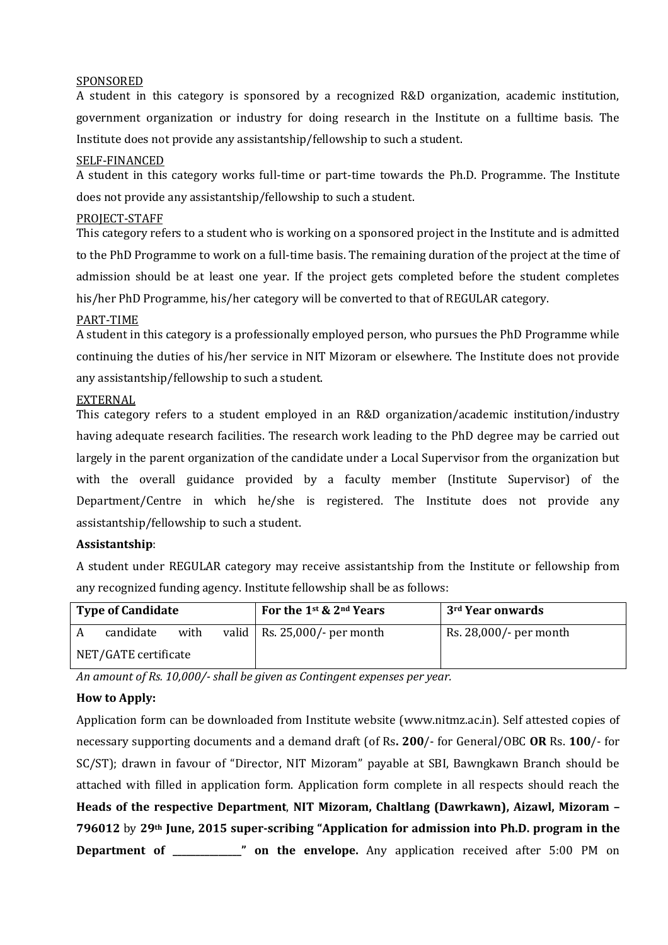#### SPONSORED

A student in this category is sponsored by a recognized R&D organization, academic institution, government organization or industry for doing research in the Institute on a fulltime basis. The Institute does not provide any assistantship/fellowship to such a student.

#### SELF-FINANCED

A student in this category works full-time or part-time towards the Ph.D. Programme. The Institute does not provide any assistantship/fellowship to such a student.

#### PROJECT-STAFF

This category refers to a student who is working on a sponsored project in the Institute and is admitted to the PhD Programme to work on a full-time basis. The remaining duration of the project at the time of admission should be at least one year. If the project gets completed before the student completes his/her PhD Programme, his/her category will be converted to that of REGULAR category.

#### PART-TIME

A student in this category is a professionally employed person, who pursues the PhD Programme while continuing the duties of his/her service in NIT Mizoram or elsewhere. The Institute does not provide any assistantship/fellowship to such a student.

#### EXTERNAL

This category refers to a student employed in an R&D organization/academic institution/industry having adequate research facilities. The research work leading to the PhD degree may be carried out largely in the parent organization of the candidate under a Local Supervisor from the organization but with the overall guidance provided by a faculty member (Institute Supervisor) of the Department/Centre in which he/she is registered. The Institute does not provide any assistantship/fellowship to such a student.

## **Assistantship**:

A student under REGULAR category may receive assistantship from the Institute or fellowship from any recognized funding agency. Institute fellowship shall be as follows:

| <b>Type of Candidate</b> |           |      |  | For the 1st & 2nd Years           | 3 <sup>rd</sup> Year onwards |
|--------------------------|-----------|------|--|-----------------------------------|------------------------------|
|                          | candidate | with |  | valid   Rs. $25,000/$ - per month | Rs. 28,000/- per month       |
| NET/GATE certificate     |           |      |  |                                   |                              |

*An amount of Rs. 10,000/- shall be given as Contingent expenses per year.*

## **How to Apply:**

Application form can be downloaded from Institute website (www.nitmz.ac.in). Self attested copies of necessary supporting documents and a demand draft (of Rs**. 200**/- for General/OBC **OR** Rs. **100**/- for SC/ST); drawn in favour of "Director, NIT Mizoram" payable at SBI, Bawngkawn Branch should be attached with filled in application form. Application form complete in all respects should reach the **Heads of the respective Department**, **NIT Mizoram, Chaltlang (Dawrkawn), Aizawl, Mizoram – 796012** by **29th June, 2015 super-scribing "Application for admission into Ph.D. program in the Department of \_\_\_\_\_\_\_\_\_\_\_\_\_\_\_" on the envelope.** Any application received after 5:00 PM on